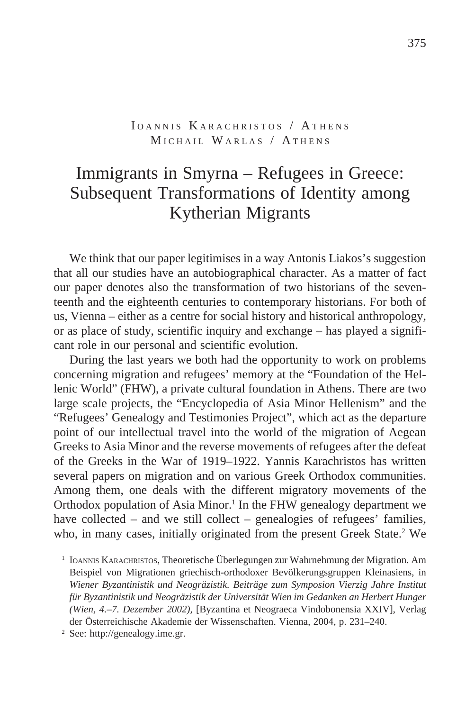# IOANNIS KARACHRISTOS / ATHENS MICHAIL WARLAS / ATHENS

# Immigrants in Smyrna – Refugees in Greece: Subsequent Transformations of Identity among Kytherian Migrants

We think that our paper legitimises in a way Antonis Liakos's suggestion that all our studies have an autobiographical character. As a matter of fact our paper denotes also the transformation of two historians of the seventeenth and the eighteenth centuries to contemporary historians. For both of us, Vienna – either as a centre for social history and historical anthropology, or as place of study, scientific inquiry and exchange – has played a significant role in our personal and scientific evolution.

During the last years we both had the opportunity to work on problems concerning migration and refugees' memory at the "Foundation of the Hellenic World" (FHW), a private cultural foundation in Athens. There are two large scale projects, the "Encyclopedia of Asia Minor Hellenism" and the "Refugees' Genealogy and Testimonies Project", which act as the departure point of our intellectual travel into the world of the migration of Aegean Greeks to Asia Minor and the reverse movements of refugees after the defeat of the Greeks in the War of 1919–1922. Yannis Karachristos has written several papers on migration and on various Greek Orthodox communities. Among them, one deals with the different migratory movements of the Orthodox population of Asia Minor.<sup>1</sup> In the FHW genealogy department we have collected – and we still collect – genealogies of refugees' families, who, in many cases, initially originated from the present Greek State.<sup>2</sup> We

<sup>1</sup> Ioannis Karachristos, Theoretische Überlegungen zur Wahrnehmung der Migration. Am Beispiel von Migrationen griechisch-orthodoxer Bevölkerungsgruppen Kleinasiens, in *Wiener Byzantinistik und Neogräzistik. Beiträge zum Symposion Vierzig Jahre Institut für Byzantinistik und Neogräzistik der Universität Wien im Gedanken an Herbert Hunger (Wien, 4.–7. Dezember 2002),* [Byzantina et Neograeca Vindobonensia XXIV], Verlag der Österreichische Akademie der Wissenschaften. Vienna, 2004, p. 231–240.<br><sup>2</sup> See: http://genealogy.ime.gr.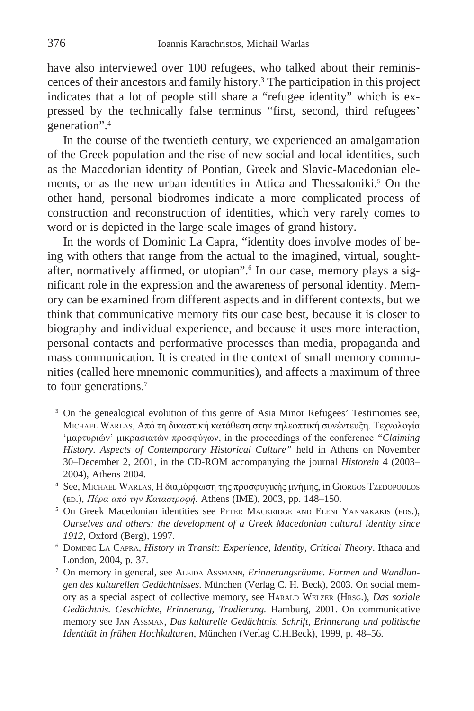have also interviewed over 100 refugees, who talked about their reminiscences of their ancestors and family history.3 The participation in this project indicates that a lot of people still share a "refugee identity" which is expressed by the technically false terminus "first, second, third refugees' generation".4

In the course of the twentieth century, we experienced an amalgamation of the Greek population and the rise of new social and local identities, such as the Macedonian identity of Pontian, Greek and Slavic-Macedonian elements, or as the new urban identities in Attica and Thessaloniki.<sup>5</sup> On the other hand, personal biodromes indicate a more complicated process of construction and reconstruction of identities, which very rarely comes to word or is depicted in the large-scale images of grand history.

In the words of Dominic La Capra, "identity does involve modes of being with others that range from the actual to the imagined, virtual, soughtafter, normatively affirmed, or utopian".<sup>6</sup> In our case, memory plays a significant role in the expression and the awareness of personal identity. Memory can be examined from different aspects and in different contexts, but we think that communicative memory fits our case best, because it is closer to biography and individual experience, and because it uses more interaction, personal contacts and performative processes than media, propaganda and mass communication. It is created in the context of small memory communities (called here mnemonic communities), and affects a maximum of three to four generations.7

<sup>&</sup>lt;sup>3</sup> On the genealogical evolution of this genre of Asia Minor Refugees' Testimonies see, Μichael Warlas, Από τη δικαστική κατάθεση στην τηλεοπτική συνέντευξη. Τεχνολογία 'μαρτυριών' μικρασιατών προσφύγων, in the proceedings of the conference *"Claiming History. Aspects of Contemporary Historical Culture"* held in Athens on November 30–December 2, 2001, in the CD-ROM accompanying the journal *Historein* 4 (2003– 2004), Athens 2004.<br><sup>4</sup> See, Μichael Warlas, Η διαμόρφωση της προσφυγικής μνήμης, in Giorgos Tzedopoulos

<sup>(</sup>ed.), *Πέρα από την Καταστροφή.* Athens (IME), 2003, pp. 148–150. 5 On Greek Macedonian identities see Peter Mackridge and Eleni Yannakakis (eds.),

*Ourselves and others: the development of a Greek Macedonian cultural identity since 1912*, Oxford (Berg), 1997.<br><sup>6</sup> Dominic La Capra, *History in Transit: Experience, Identity, Critical Theory*. Ithaca and

London, 2004, p. 37. 7 On memory in general, see Aleida Assmann, *Erinnerungsräume. Formen und Wandlun-*

*gen des kulturellen Gedächtnisses*. München (Verlag C. H. Beck), 2003. On social memory as a special aspect of collective memory, see Harald Welzer (Hrsg.), *Das soziale Gedächtnis. Geschichte, Erinnerung, Tradierung.* Hamburg, 2001. On communicative memory see Jan Assman, *Das kulturelle Gedächtnis. Schrift, Erinnerung und politische Identität in frühen Hochkulturen*, München (Verlag C.H.Beck), 1999, p. 48–56.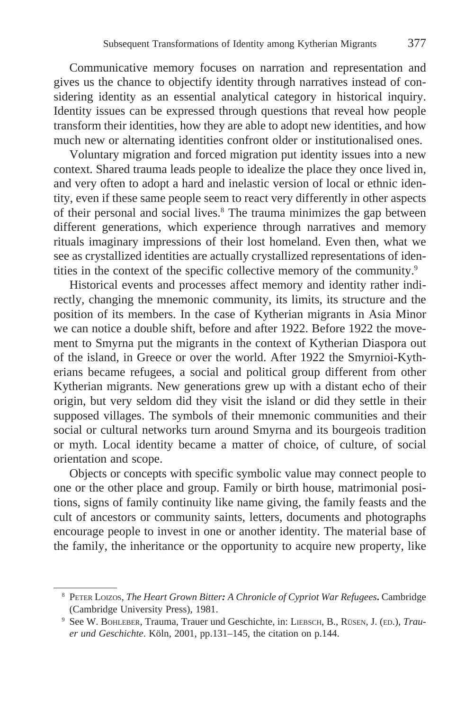Communicative memory focuses on narration and representation and gives us the chance to objectify identity through narratives instead of considering identity as an essential analytical category in historical inquiry. Identity issues can be expressed through questions that reveal how people transform their identities, how they are able to adopt new identities, and how much new or alternating identities confront older or institutionalised ones.

Voluntary migration and forced migration put identity issues into a new context. Shared trauma leads people to idealize the place they once lived in, and very often to adopt a hard and inelastic version of local or ethnic identity, even if these same people seem to react very differently in other aspects of their personal and social lives.<sup>8</sup> The trauma minimizes the gap between different generations, which experience through narratives and memory rituals imaginary impressions of their lost homeland. Even then, what we see as crystallized identities are actually crystallized representations of identities in the context of the specific collective memory of the community.9

Historical events and processes affect memory and identity rather indirectly, changing the mnemonic community, its limits, its structure and the position of its members. In the case of Kytherian migrants in Asia Minor we can notice a double shift, before and after 1922. Before 1922 the movement to Smyrna put the migrants in the context of Kytherian Diaspora out of the island, in Greece or over the world. After 1922 the Smyrnioi-Kytherians became refugees, a social and political group different from other Kytherian migrants. New generations grew up with a distant echo of their origin, but very seldom did they visit the island or did they settle in their supposed villages. The symbols of their mnemonic communities and their social or cultural networks turn around Smyrna and its bourgeois tradition or myth. Local identity became a matter of choice, of culture, of social orientation and scope.

Objects or concepts with specific symbolic value may connect people to one or the other place and group. Family or birth house, matrimonial positions, signs of family continuity like name giving, the family feasts and the cult of ancestors or community saints, letters, documents and photographs encourage people to invest in one or another identity. The material base of the family, the inheritance or the opportunity to acquire new property, like

<sup>8</sup> Peter Loizos, *The Heart Grown Bitter: A Chronicle of Cypriot War Refugees***.** Cambridge (Cambridge University Press), 1981.<br><sup>9</sup> See W. Воньевек, Trauma, Trauer und Geschichte, in: LIEBSCH, B., RÜSEN, J. (ED.), *Trau-*

*er und Geschichte*. Köln, 2001, pp.131–145, the citation on p.144.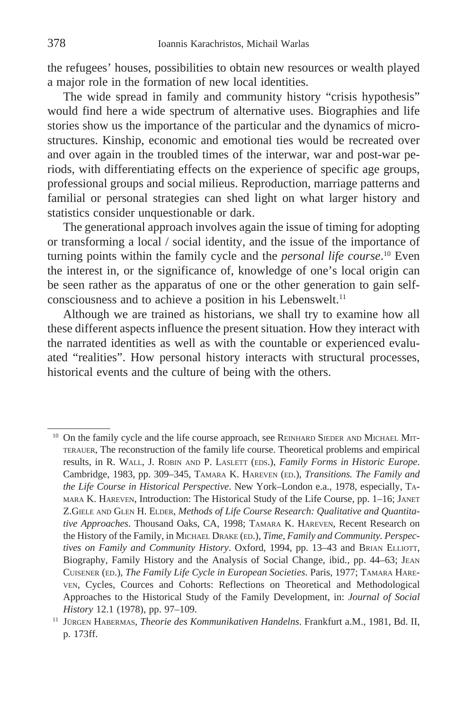the refugees' houses, possibilities to obtain new resources or wealth played a major role in the formation of new local identities.

The wide spread in family and community history "crisis hypothesis" would find here a wide spectrum of alternative uses. Biographies and life stories show us the importance of the particular and the dynamics of microstructures. Kinship, economic and emotional ties would be recreated over and over again in the troubled times of the interwar, war and post-war periods, with differentiating effects on the experience of specific age groups, professional groups and social milieus. Reproduction, marriage patterns and familial or personal strategies can shed light on what larger history and statistics consider unquestionable or dark.

The generational approach involves again the issue of timing for adopting or transforming a local / social identity, and the issue of the importance of turning points within the family cycle and the *personal life course*. 10 Even the interest in, or the significance of, knowledge of one's local origin can be seen rather as the apparatus of one or the other generation to gain selfconsciousness and to achieve a position in his Lebenswelt.<sup>11</sup>

Although we are trained as historians, we shall try to examine how all these different aspects influence the present situation. How they interact with the narrated identities as well as with the countable or experienced evaluated "realities". How personal history interacts with structural processes, historical events and the culture of being with the others.

 $10$  On the family cycle and the life course approach, see REINHARD SIEDER AND MICHAEL MITterauer, The reconstruction of the family life course. Theoretical problems and empirical results, in R. WALL, J. ROBIN AND P. LASLETT (EDS.), *Family Forms in Historic Europe*. Cambridge, 1983, pp. 309–345, Tamara K. Hareven (ed.), *Transitions. The Family and the Life Course in Historical Perspective*. New York–London e.a., 1978, especially, Tamara K. Hareven, Introduction: The Historical Study of the Life Course, pp. 1–16; Janet Z.Giele and Glen H. Elder, *Methods of Life Course Research: Qualitative and Quantitative Approaches*. Thousand Oaks, CA, 1998; Tamara K. Hareven, Recent Research on the History of the Family, in MICHAEL DRAKE (ED.), *Time, Family and Community. Perspectives on Family and Community History*. Oxford, 1994, pp. 13–43 and BRIAN ELLIOTT, Biography, Family History and the Analysis of Social Change, ibid., pp. 44–63; Jean Cuisener (ed.), *The Family Life Cycle in European Societies*. Paris, 1977; Tamara Hareven, Cycles, Cources and Cohorts: Reflections on Theoretical and Methodological Approaches to the Historical Study of the Family Development, in: *Journal of Social History* 12.1 (1978), pp. 97–109.

<sup>11</sup> Jürgen Habermas, *Theorie des Kommunikativen Handelns*. Frankfurt a.M., 1981, Bd. II, p. 173ff.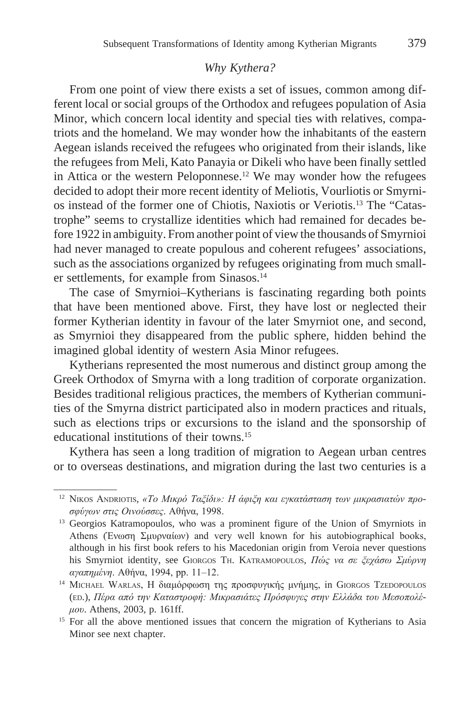## *Why Kythera?*

From one point of view there exists a set of issues, common among different local or social groups of the Orthodox and refugees population of Asia Minor, which concern local identity and special ties with relatives, compatriots and the homeland. We may wonder how the inhabitants of the eastern Aegean islands received the refugees who originated from their islands, like the refugees from Meli, Kato Panayia or Dikeli who have been finally settled in Attica or the western Peloponnese.<sup>12</sup> We may wonder how the refugees decided to adopt their more recent identity of Meliotis, Vourliotis or Smyrnios instead of the former one of Chiotis, Naxiotis or Veriotis.13 The "Catastrophe" seems to crystallize identities which had remained for decades before 1922 in ambiguity. From another point of view the thousands of Smyrnioi had never managed to create populous and coherent refugees' associations, such as the associations organized by refugees originating from much smaller settlements, for example from Sinasos.<sup>14</sup>

The case of Smyrnioi–Kytherians is fascinating regarding both points that have been mentioned above. First, they have lost or neglected their former Kytherian identity in favour of the later Smyrniot one, and second, as Smyrnioi they disappeared from the public sphere, hidden behind the imagined global identity of western Asia Minor refugees.

Kytherians represented the most numerous and distinct group among the Greek Orthodox of Smyrna with a long tradition of corporate organization. Besides traditional religious practices, the members of Kytherian communities of the Smyrna district participated also in modern practices and rituals, such as elections trips or excursions to the island and the sponsorship of educational institutions of their towns.15

Kythera has seen a long tradition of migration to Aegean urban centres or to overseas destinations, and migration during the last two centuries is a

<sup>12</sup> Νikos Andriotis, *«Το Μικρό Ταξίδι»: Η άφιξη και εγκατάσταση των μικρασιατών προσφύγων στις Οινούσσες*. Αθήνα, 1998.

<sup>&</sup>lt;sup>13</sup> Georgios Katramopoulos, who was a prominent figure of the Union of Smyrniots in Athens (Ένωση Σμυρναίων) and very well known for his autobiographical books, although in his first book refers to his Macedonian origin from Veroia never questions his Smyrniot identity, see Giorgos Th. Katramopoulos, *Πώς να σε ξεχάσω Σμύρνη αγαπημένη*. Αθήνα, 1994, pp. 11–12.

<sup>&</sup>lt;sup>14</sup> ΜICHAEL WARLAS, Η διαμόρφωση της προσφυγικής μνήμης, in GIORGOS TzEDOPOULOS (ed.), *Πέρα από την Καταστροφή: Μικρασιάτες Πρόσφυγες στην Ελλάδα του Μεσοπολέμου*. Athens, 2003, p. 161ff.

<sup>&</sup>lt;sup>15</sup> For all the above mentioned issues that concern the migration of Kytherians to Asia Minor see next chapter.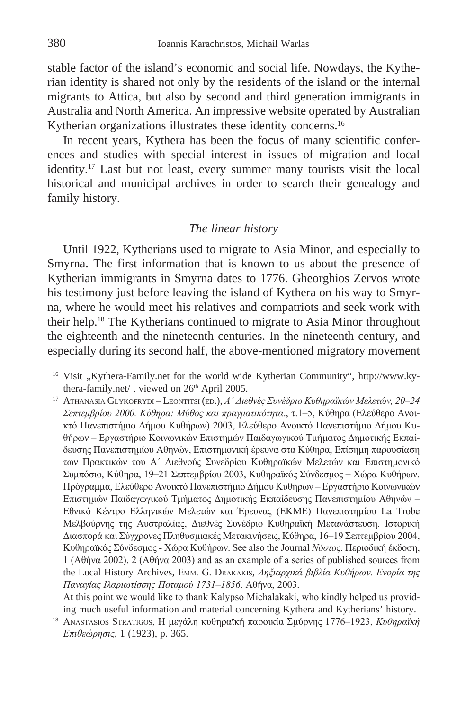stable factor of the island's economic and social life. Nowdays, the Kytherian identity is shared not only by the residents of the island or the internal migrants to Attica, but also by second and third generation immigrants in Australia and North America. An impressive website operated by Australian Kytherian organizations illustrates these identity concerns.<sup>16</sup>

In recent years, Kythera has been the focus of many scientific conferences and studies with special interest in issues of migration and local identity.17 Last but not least, every summer many tourists visit the local historical and municipal archives in order to search their genealogy and family history.

#### *The linear history*

Until 1922, Kytherians used to migrate to Asia Minor, and especially to Smyrna. The first information that is known to us about the presence of Kytherian immigrants in Smyrna dates to 1776. Gheorghios Zervos wrote his testimony just before leaving the island of Kythera on his way to Smyrna, where he would meet his relatives and compatriots and seek work with their help.18 The Kytherians continued to migrate to Asia Minor throughout the eighteenth and the nineteenth centuries. In the nineteenth century, and especially during its second half, the above-mentioned migratory movement

<sup>&</sup>lt;sup>16</sup> Visit "Kythera-Family.net for the world wide Kytherian Community", http://www.kythera-family.net/, viewed on 26<sup>th</sup> April 2005.

<sup>17</sup> Athanasia Glykofrydi – Leontitsi (ed.), *Α΄ Διεθνές Συνέδριο Κυθηραϊκών Μελετών, 20–24 Σεπτεμβρίου 2000. Κύθηρα: Μύθος και πραγματικότητα*., τ.1–5, Κύθηρα (Ελεύθερο Ανοικτό Πανεπιστήμιο Δήμου Κυθήρων) 2003, Ελεύθερο Ανοικτό Πανεπιστήμιο Δήμου Κυθήρων – Εργαστήριο Κοινωνικών Επιστημών Παιδαγωγικού Τμήματος Δημοτικής Εκπαίδευσης Πανεπιστημίου Αθηνών, Επιστημονική έρευνα στα Κύθηρα, Επίσημη παρουσίαση των Πρακτικών του Α΄ Διεθνούς Συνεδρίου Κυθηραϊκών Μελετών και Επιστημονικό Συμπόσιο, Κύθηρα, 19–21 Σεπτεμβρίου 2003, Κυθηραϊκός Σύνδεσμος – Χώρα Κυθήρων. Πρόγραμμα, Ελεύθερο Ανοικτό Πανεπιστήμιο Δήμου Κυθήρων – Εργαστήριο Κοινωνικών Επιστημών Παιδαγωγικού Τμήματος Δημοτικής Εκπαίδευσης Πανεπιστημίου Αθηνών – Eθνικό Kέντρο Eλληνικών Mελετών και Έρευνας (EKME) Πανεπιστημίου La Trobe Mελβούρνης της Aυστραλίας, Διεθνές Συνέδριο Kυθηραϊκή Mετανάστευση. Iστορική Διασπορά και Σύγχρονες Πληθυσμιακές Mετακινήσεις, Kύθηρα, 16–19 Σεπτεμβρίου 2004, Kυθηραϊκός Σύνδεσμος - Xώρα Kυθήρων. See also the Journal *Νόστος*. Περιοδική έκδοση, 1 (Αθήνα 2002). 2 (Αθήνα 2003) and as an example of a series of published sources from the Local History Archives, Εmm. G. Drakakis, *Ληξιαρχικά βιβλία Κυθήρων. Ενορία της Παναγίας Ιλαριωτίσσης Ποταμού 1731–1856*. Αθήνα, 2003.

At this point we would like to thank Kalypso Μichalakaki, who kindly helped us providing much useful information and material concerning Kythera and Kytherians' history.

<sup>18</sup> Αnastasios Stratigos, Η μεγάλη κυθηραϊκή παροικία Σμύρνης 1776–1923, *Κυθηραϊκή Επιθεώρησις*, 1 (1923), p. 365.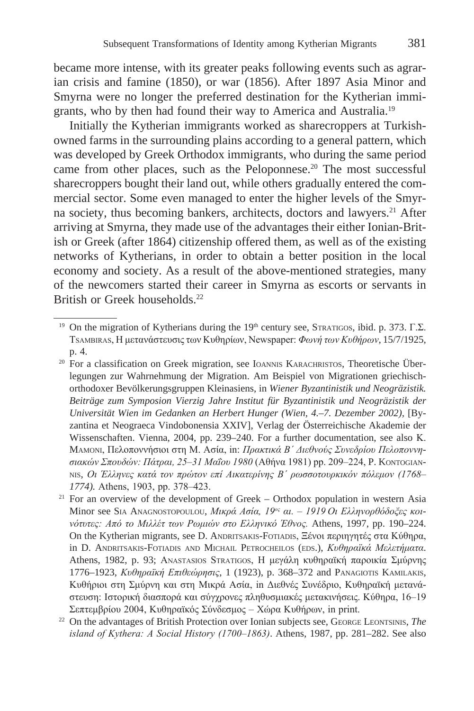became more intense, with its greater peaks following events such as agrarian crisis and famine (1850), or war (1856). After 1897 Asia Minor and Smyrna were no longer the preferred destination for the Kytherian immigrants, who by then had found their way to America and Australia.19

Initially the Kytherian immigrants worked as sharecroppers at Turkishowned farms in the surrounding plains according to a general pattern, which was developed by Greek Orthodox immigrants, who during the same period came from other places, such as the Peloponnese.<sup>20</sup> The most successful sharecroppers bought their land out, while others gradually entered the commercial sector. Some even managed to enter the higher levels of the Smyrna society, thus becoming bankers, architects, doctors and lawyers.<sup>21</sup> After arriving at Smyrna, they made use of the advantages their either Ionian-British or Greek (after 1864) citizenship offered them, as well as of the existing networks of Kytherians, in order to obtain a better position in the local economy and society. As a result of the above-mentioned strategies, many of the newcomers started their career in Smyrna as escorts or servants in British or Greek households.<sup>22</sup>

<sup>&</sup>lt;sup>19</sup> On the migration of Kytherians during the 19<sup>th</sup> century see, STRATIGOS, ibid. p. 373. Γ.Σ. Τsambiras, Η μετανάστευσις των Κυθηρίων, Newspaper: *Φωνή των Κυθήρων*, 15/7/1925, p. 4.

<sup>&</sup>lt;sup>20</sup> For a classification on Greek migration, see IoANNIS KARACHRISTOS, Theoretische Überlegungen zur Wahrnehmung der Migration. Am Beispiel von Migrationen griechischorthodoxer Bevölkerungsgruppen Kleinasiens, in *Wiener Byzantinistik und Neogräzistik. Beiträge zum Symposion Vierzig Jahre Institut für Byzantinistik und Neogräzistik der Universität Wien im Gedanken an Herbert Hunger (Wien, 4.–7. Dezember 2002),* [Byzantina et Neograeca Vindobonensia XXIV], Verlag der Österreichische Akademie der Wissenschaften. Vienna, 2004, pp. 239–240. For a further documentation, see also Κ. Mamoni, Πελοποννήσιοι στη Μ. Ασία, in: *Πρακτικά Β΄ Διεθνούς Συνεδρίου Πελοποννησιακών Σπουδών: Πάτραι, 25–31 Μαΐου 1980* (Αθήνα 1981) pp. 209–224, P. Kontogiannis, *Οι Έλληνες κατά τον πρώτον επί Αικατερίνης Β΄ ρωσσοτουρκικόν πόλεμον (1768– 1774*). Athens, 1903, pp. 378–423.

<sup>&</sup>lt;sup>21</sup> For an overview of the development of Greek – Orthodox population in western Asia Minor see Sia Anagnostopoulou, *Μικρά Ασία, 19ος αι. – 1919 Οι Ελληνορθόδοξες κοινότυτες: Από το Μιλλέτ των Ρωμιών στο Ελληνικό Έθνος.* Athens, 1997, pp. 190–224. On the Kytherian migrants, see D. Andritsakis-Fotiadis, Ξένοι περιηγητές στα Κύθηρα, in D. Andritsakis-Fotiadis and Michail Petrocheilos (eds.), *Κυθηραϊκά Μελετήματα*. Athens, 1982, p. 93; ΑΝΑSTASIOS STRATIGOS, Η μεγάλη κυθηραϊκή παροικία Σμύρνης 1776–1923, *Κυθηραϊκή Επιθεώρησις*, 1 (1923), p. 368–372 and Panagiotis Kamilakis, Κυθήριοι στη Σμύρνη και στη Μικρά Ασία, in Διεθνές Συνέδριο, Κυθηραϊκή μετανάστευση: Ιστορική διασπορά και σύγχρονες πληθυσμιακές μετακινήσεις. Κύθηρα, 16–19 Σεπτεμβρίου 2004, Κυθηραϊκός Σύνδεσμος – Χώρα Κυθήρων, in print.

<sup>22</sup> On the advantages of British Protection over Ionian subjects see, George Leontsinis, *The island of Kythera: A Social History (1700–1863)*. Athens, 1987, pp. 281–282. See also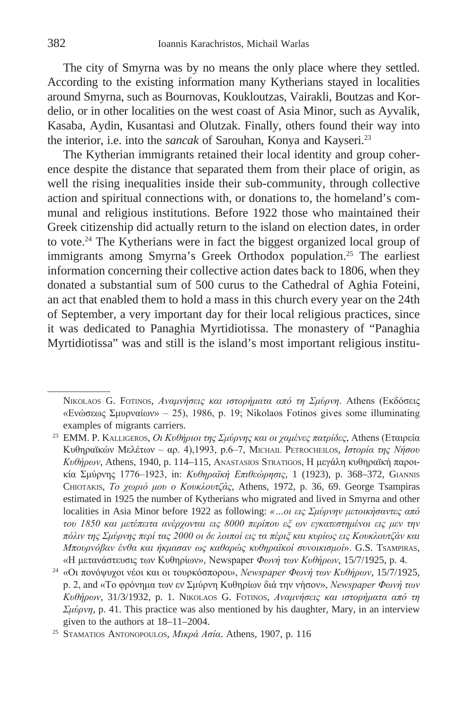The city of Smyrna was by no means the only place where they settled. According to the existing information many Kytherians stayed in localities around Smyrna, such as Bournovas, Koukloutzas, Vairakli, Boutzas and Kordelio, or in other localities on the west coast of Asia Minor, such as Ayvalik, Kasaba, Aydin, Kusantasi and Olutzak. Finally, others found their way into the interior, i.e. into the *sancak* of Sarouhan, Konya and Kayseri.23

The Kytherian immigrants retained their local identity and group coherence despite the distance that separated them from their place of origin, as well the rising inequalities inside their sub-community, through collective action and spiritual connections with, or donations to, the homeland's communal and religious institutions. Before 1922 those who maintained their Greek citizenship did actually return to the island on election dates, in order to vote.24 The Kytherians were in fact the biggest organized local group of immigrants among Smyrna's Greek Orthodox population.<sup>25</sup> The earliest information concerning their collective action dates back to 1806, when they donated a substantial sum of 500 curus to the Cathedral of Aghia Foteini, an act that enabled them to hold a mass in this church every year on the 24th of September, a very important day for their local religious practices, since it was dedicated to Panaghia Myrtidiotissa. The monastery of "Panaghia Myrtidiotissa" was and still is the island's most important religious institu-

Nikolaos G. Fotinos, *Aναμνήσεις και ιστορήματα από τη Σμύρνη*. Athens (Eκδόσεις «Eνώσεως Σμυρναίων» – 25), 1986, p. 19; Nikolaos Fotinos gives some illuminating examples of migrants carriers.

<sup>23</sup> EMM. P. Kalligeros, *Oι Kυθήριοι της Σμύρνης και οι χαμένες πατρίδες*, Athens (Eταιρεία Kυθηραϊκών Mελέτων – αρ. 4),1993, p.6–7, Μichail Petrocheilos, *Ιστορία της Νήσου Κυθήρων*, Athens, 1940, p. 114–115, Αnastasios Stratigos, Η μεγάλη κυθηραϊκή παροικία Σμύρνης 1776–1923, in: *Κυθηραϊκή Επιθεώρησις*, 1 (1923), p. 368–372, Giannis Chiotakis, *Το χωριό μου ο Κουκλουτζάς*, Athens, 1972, p. 36, 69. George Tsampiras estimated in 1925 the number of Kytherians who migrated and lived in Smyrna and other localities in Asia Minor before 1922 as following: *«…οι εις Σμύρνην μετοικήσαντες από του 1850 και μετέπειτα ανέρχονται εις 8000 περίπου εξ ων εγκατεστημένοι εις μεν την πόλιν της Σμύρνης περί τας 2000 οι δε λοιποί εις τα πέριξ και κυρίως εις Κουκλουτζάν και Μπουρνόβαν ένθα και ήκμασαν ως καθαρώς κυθηραϊκοί συνοικισμοί*». G.S. Tsampiras,

<sup>«</sup>Η μετανάστευσις των Κυθηρίων», Newspaper *Φωνή των Κυθήρων*, 15/7/1925, p. 4. 24 «Οι πονόψυχοι νέοι και οι τουρκόσποροι», *Newspaper Φωνή των Κυθήρων*, 15/7/1925, p. 2, and «Το φρόνημα των εν Σμύρνη Κυθηρίων διά την νήσον», *Newspaper Φωνή των Κυθήρων*, 31/3/1932, p. 1. Nikolaos G. Fotinos, *Aναμνήσεις και ιστορήματα από τη Σμύρνη*, p. 41. This practice was also mentioned by his daughter, Mary, in an interview given to the authors at 18–11–2004. 25 Stamatios Antonopoulos, *Μικρά Ασία*. Athens, 1907, p. 116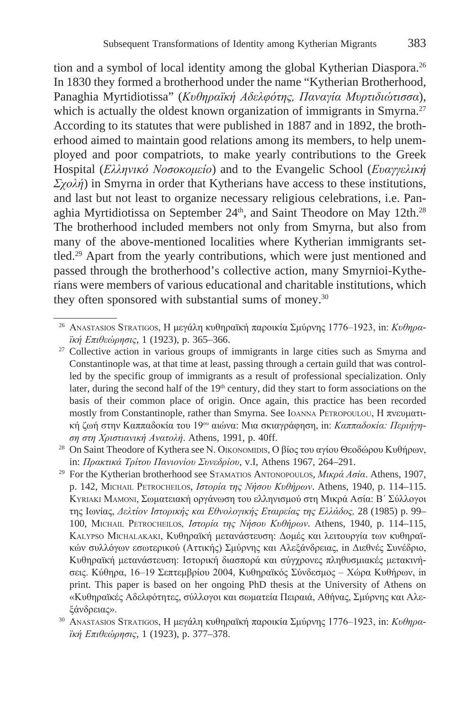tion and a symbol of local identity among the global Kytherian Diaspora.<sup>26</sup> In 1830 they formed a brotherhood under the name "Kytherian Brotherhood, Panaghia Myrtidiotissa" (*Κυθηραϊκή Αδελφότης, Παναγία Μυρτιδιώτισσα*), which is actually the oldest known organization of immigrants in Smyrna.<sup>27</sup> According to its statutes that were published in 1887 and in 1892, the brotherhood aimed to maintain good relations among its members, to help unemployed and poor compatriots, to make yearly contributions to the Greek Hospital (*Ελληνικό Νοσοκομείο*) and to the Evangelic School (*Ευαγγελική Σχολή*) in Smyrna in order that Kytherians have access to these institutions, and last but not least to organize necessary religious celebrations, i.e. Panaghia Myrtidiotissa on September 24<sup>th</sup>, and Saint Theodore on May 12th.<sup>28</sup> The brotherhood included members not only from Smyrna, but also from many of the above-mentioned localities where Kytherian immigrants settled.29 Apart from the yearly contributions, which were just mentioned and passed through the brotherhood's collective action, many Smyrnioi-Kytherians were members of various educational and charitable institutions, which they often sponsored with substantial sums of money.<sup>30</sup>

<sup>26</sup> Αnastasios Stratigos, Η μεγάλη κυθηραϊκή παροικία Σμύρνης 1776–1923, in: *Κυθηραϊκή Επιθεώρησις*, 1 (1923), p. 365–366.<br><sup>27</sup> Collective action in various groups of immigrants in large cities such as Smyrna and

Constantinople was, at that time at least, passing through a certain guild that was controlled by the specific group of immigrants as a result of professional specialization. Only later, during the second half of the  $19<sup>th</sup>$  century, did they start to form associations on the basis of their common place of origin. Once again, this practice has been recorded mostly from Constantinople, rather than Smyrna. See Ιοanna Ρετropoulou, Η πνευματική ζωή στην Καππαδοκία του 19ου αιώνα: Μια σκιαγράφηση, in: *Καππαδοκία: Περιήγηση στη Χριστιανική Ανατολή*. Athens, 1991, p. 40ff.<br><sup>28</sup> On Saint Theodore of Kythera see Ν. ΟικοΝοΜΙΣΙS, Ο βίος του αγίου Θεοδώρου Κυθήρων,

in: *Πρακτικά Τρίτου Πανιονίου Συνεδρίου*, v.I, Athens 1967, 264–291. 29 For the Kytherian brotherhood see Stamatios Antonopoulos, *Μικρά Ασία*. Athens, 1907,

p. 142, Μichail Petrocheilos, *Ιστορία της Νήσου Κυθήρων*. Athens, 1940, p. 114–115. Κyriaki Mamoni, Σωματειακή οργάνωση του ελληνισμού στη Μικρά Ασία: Β΄ Σύλλογοι της Ιωνίας, *Δελτίον Ιστορικής και Εθνολογικής Εταιρείας της Ελλάδος,* 28 (1985) p. 99– 100, Μichail Petrocheilos*, Ιστορία της Νήσου Κυθήρων*. Athens, 1940, p. 114–115, Κalypso Michalakaki, Κυθηραϊκή μετανάστευση: Δομές και λειτουργία των κυθηραϊκών συλλόγων εσωτερικού (Αττικής) Σμύρνης και Αλεξάνδρειας, in Διεθνές Συνέδριο, Κυθηραϊκή μετανάστευση: Ιστορική διασπορά και σύγχρονες πληθυσμιακές μετακινήσεις. Κύθηρα, 16–19 Σεπτεμβρίου 2004, Κυθηραϊκός Σύνδεσμος – Χώρα Κυθήρων, in print. This paper is based on her ongoing PhD thesis at the University of Athens on «Κυθηραϊκές Αδελφότητες, σύλλογοι και σωματεία Πειραιά, Αθήνας, Σμύρνης και Αλεξάνδρειας».

<sup>30</sup> Αnastasios Stratigos, Η μεγάλη κυθηραϊκή παροικία Σμύρνης 1776–1923, in: *Κυθηραϊκή Επιθεώρησις*, 1 (1923), p. 377–378.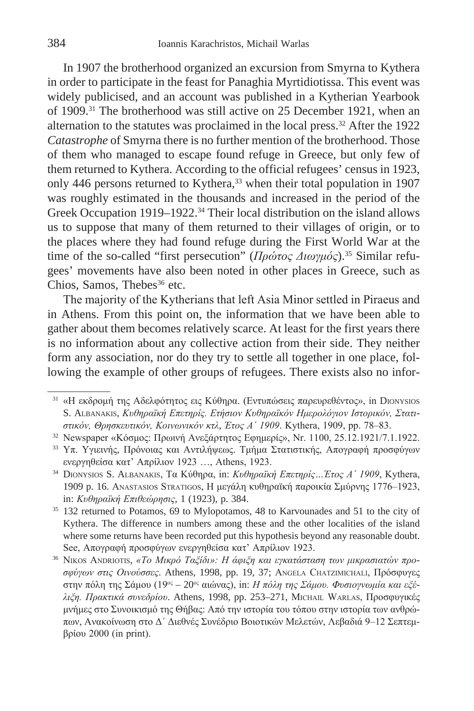In 1907 the brotherhood organized an excursion from Smyrna to Kythera in order to participate in the feast for Panaghia Myrtidiotissa. This event was widely publicised, and an account was published in a Kytherian Yearbook of 1909.31 The brotherhood was still active on 25 December 1921, when an alternation to the statutes was proclaimed in the local press.32 After the 1922 *Catastrophe* of Smyrna there is no further mention of the brotherhood. Those of them who managed to escape found refuge in Greece, but only few of them returned to Kythera. According to the official refugees' census in 1923, only 446 persons returned to Kythera,<sup>33</sup> when their total population in 1907 was roughly estimated in the thousands and increased in the period of the Greek Occupation 1919–1922.<sup>34</sup> Their local distribution on the island allows us to suppose that many of them returned to their villages of origin, or to the places where they had found refuge during the First World War at the time of the so-called "first persecution" (*Πρώτος Διωγμός*).35 Similar refugees' movements have also been noted in other places in Greece, such as Chios, Samos, Thebes<sup>36</sup> etc.

Τhe majority of the Kytherians that left Asia Minor settled in Piraeus and in Athens. From this point on, the information that we have been able to gather about them becomes relatively scarce. At least for the first years there is no information about any collective action from their side. They neither form any association, nor do they try to settle all together in one place, following the example of other groups of refugees. There exists also no infor-

<sup>32</sup> Newspaper «Κόσμος: Πρωινή Ανεξάρτητος Εφημερίς», Nr. 1100, 25.12.1921/7.1.1922.

<sup>31</sup> «Η εκδρομή της Αδελφότητος εις Κύθηρα. (Εντυπώσεις παρευρεθέντος», in Dionysios S. Albanakis, *Κυθηραϊκή Επετηρίς. Ετήσιον Κυθηραϊκόν Ημερολόγιον Ιστορικόν, Στατιστικόν, Θρησκευτικόν, Κοινωνικόν κτλ*, *Έτος Α΄ 1909*. Κythera, 1909, pp. 78–83.

<sup>33</sup> Υπ. Υγιεινής, Πρόνοιας και Αντιλήψεως. Τμήμα Στατιστικής, Απογραφή προσφύγων ενεργηθείσα κατ' Απρίλιον 1923 …, Αthens, 1923.

<sup>34</sup> Dionysios S. Albanakis, Τα Κύθηρα, in: *Κυθηραϊκή Επετηρίς…Έτος Α΄ 1909*, Κythera, 1909 p. 16. Αnastasios Stratigos, Η μεγάλη κυθηραϊκή παροικία Σμύρνης 1776–1923, in: *Κυθηραϊκή Επιθεώρησις*, 1 (1923), p. 384.

<sup>35</sup> 132 returned to Potamos, 69 to Mylopotamos, 48 to Karvounades and 51 to the city of Kythera. The difference in numbers among these and the other localities of the island where some returns have been recorded put this hypothesis beyond any reasonable doubt. See, Απογραφή προσφύγων ενεργηθείσα κατ' Απρίλιον 1923.

<sup>36</sup> Νikos Andriotis, *«Το Μικρό Ταξίδι»: Η άφιξη και εγκατάσταση των μικρασιατών προσφύγων στις Οινούσσες*. Athens, 1998, pp. 19, 37; Αngela Chatzimichali, Πρόσφυγες στην πόλη της Σάμου (19ος – 20ος αιώνας), in: *Η πόλη της Σάμου. Φυσιογνωμία και εξέλιξη. Πρακτικά συνεδρίου*. Athens, 1998, pp. 253–271, Μichail Warlas, Προσφυγικές μνήμες στο Συνοικισμό της Θήβας: Aπό την ιστορία του τόπου στην ιστορία των ανθρώπων, Ανακοίνωση στο Δ΄ Διεθνές Συνέδριο Bοιοτικών Mελετών, Λεβαδιά 9–12 Σεπτεμβρίου 2000 (in print).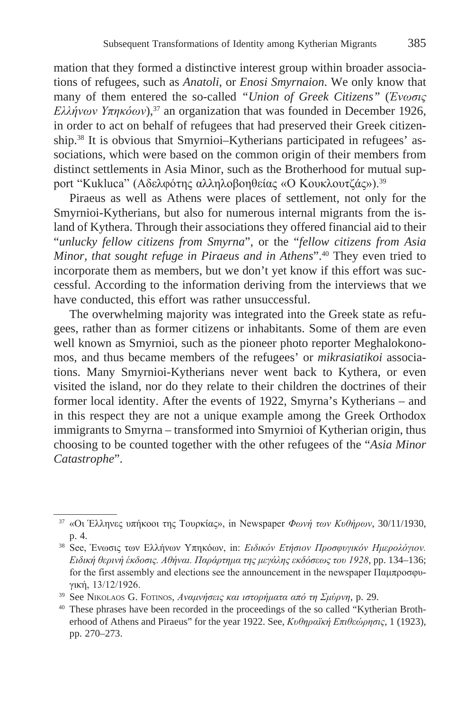mation that they formed a distinctive interest group within broader associations of refugees, such as *Anatoli*, or *Enosi Smyrnaion*. We only know that many of them entered the so-called *"Union of Greek Citizens"* (*Ένωσις Ελλήνων Υπηκόων*),<sup>37</sup> an organization that was founded in December 1926, in order to act on behalf of refugees that had preserved their Greek citizenship.38 It is obvious that Smyrnioi–Kytherians participated in refugees' associations, which were based on the common origin of their members from distinct settlements in Asia Minor, such as the Brotherhood for mutual support "Kukluca" (Αδελφότης αλληλοβοηθείας «Ο Κουκλουτζάς»).<sup>39</sup>

Piraeus as well as Athens were places of settlement, not only for the Smyrnioi-Kytherians, but also for numerous internal migrants from the island of Kythera. Through their associations they offered financial aid to their "*unlucky fellow citizens from Smyrna*", or the "*fellow citizens from Asia Minor, that sought refuge in Piraeus and in Athens*".40 They even tried to incorporate them as members, but we don't yet know if this effort was successful. According to the information deriving from the interviews that we have conducted, this effort was rather unsuccessful.

The overwhelming majority was integrated into the Greek state as refugees, rather than as former citizens or inhabitants. Some of them are even well known as Smyrnioi, such as the pioneer photo reporter Meghalokonomos, and thus became members of the refugees' or *mikrasiatikoi* associations. Many Smyrnioi-Kytherians never went back to Kythera, or even visited the island, nor do they relate to their children the doctrines of their former local identity. After the events of 1922, Smyrna's Kytherians – and in this respect they are not a unique example among the Greek Orthodox immigrants to Smyrna – transformed into Smyrnioi of Kytherian origin, thus choosing to be counted together with the other refugees of the "*Asia Minor Catastrophe*".

<sup>37</sup> «Οι Έλληνες υπήκοοι της Τουρκίας», in Newspaper *Φωνή των Κυθήρων*, 30/11/1930, p. 4. 38 See, Ένωσις των Ελλήνων Υπηκόων, in: *Ειδικόν Ετήσιον Προσφυγικόν Ημερολόγιον.* 

*Ειδική θερινή έκδοσις. Αθήναι. Παράρτημα της μεγάλης εκδόσεως του 1928*, pp. 134–136; for the first assembly and elections see the announcement in the newspaper Παμπροσφυγική, 13/12/1926.

<sup>39</sup> See Nikolaos G. Fotinos, *Aναμνήσεις και ιστορήματα από τη Σμύρνη*, p. 29.

<sup>40</sup> These phrases have been recorded in the proceedings of the so called "Kytherian Brotherhood of Athens and Piraeus" for the year 1922. See, *Κυθηραϊκή Επιθεώρησις*, 1 (1923), pp. 270–273.